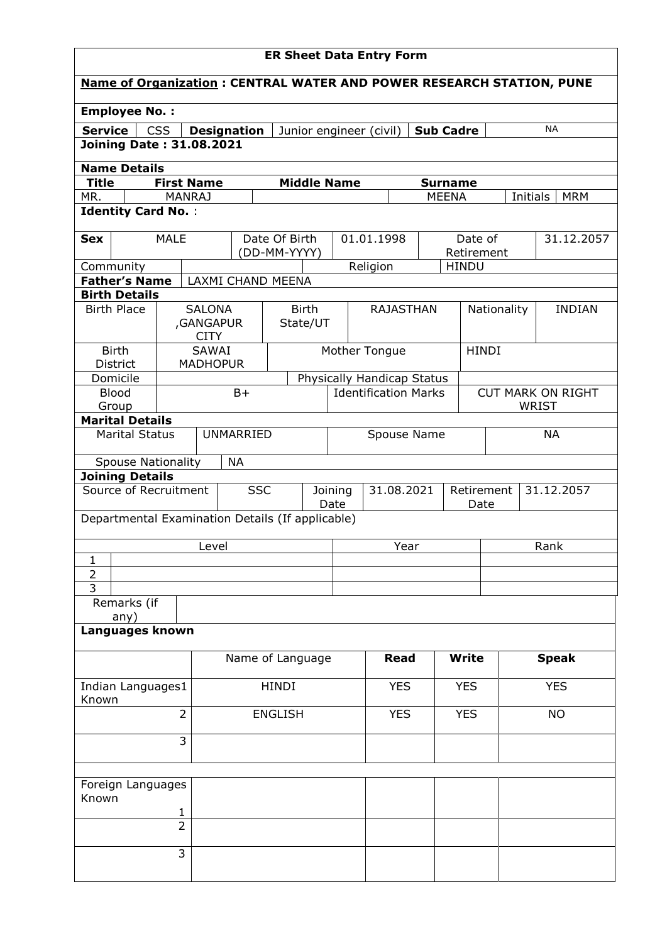| <b>ER Sheet Data Entry Form</b><br><b>Name of Organization: CENTRAL WATER AND POWER RESEARCH STATION, PUNE</b> |                |                                           |                   |                  |                          |                    |                             |              |                |                          |                        |  |
|----------------------------------------------------------------------------------------------------------------|----------------|-------------------------------------------|-------------------|------------------|--------------------------|--------------------|-----------------------------|--------------|----------------|--------------------------|------------------------|--|
| <b>Employee No.:</b>                                                                                           |                |                                           |                   |                  |                          |                    |                             |              |                |                          |                        |  |
| <b>Service</b>                                                                                                 | <b>CSS</b>     |                                           |                   |                  |                          |                    |                             |              |                |                          | <b>NA</b>              |  |
| <b>Sub Cadre</b><br><b>Designation</b><br>Junior engineer (civil)<br><b>Joining Date: 31.08.2021</b>           |                |                                           |                   |                  |                          |                    |                             |              |                |                          |                        |  |
| <b>Name Details</b>                                                                                            |                |                                           |                   |                  |                          |                    |                             |              |                |                          |                        |  |
| <b>Title</b>                                                                                                   |                | <b>First Name</b>                         |                   |                  |                          | <b>Middle Name</b> |                             |              | <b>Surname</b> |                          |                        |  |
| MR.                                                                                                            | <b>MANRAJ</b>  |                                           |                   |                  |                          |                    |                             | <b>MEENA</b> |                |                          | <b>MRM</b><br>Initials |  |
| <b>Identity Card No.:</b>                                                                                      |                |                                           |                   |                  |                          |                    |                             |              |                |                          |                        |  |
| <b>MALE</b><br>Date Of Birth<br>01.01.1998<br>Date of<br>31.12.2057<br><b>Sex</b>                              |                |                                           |                   |                  |                          |                    |                             |              |                |                          |                        |  |
|                                                                                                                |                |                                           |                   | (DD-MM-YYYY)     |                          |                    |                             |              | Retirement     |                          |                        |  |
| Community                                                                                                      |                |                                           |                   |                  |                          |                    | Religion                    |              | <b>HINDU</b>   |                          |                        |  |
| <b>Father's Name</b>                                                                                           |                |                                           | LAXMI CHAND MEENA |                  |                          |                    |                             |              |                |                          |                        |  |
| <b>Birth Details</b>                                                                                           |                |                                           |                   |                  |                          |                    |                             |              |                |                          |                        |  |
| <b>Birth Place</b>                                                                                             |                | <b>SALONA</b><br>,GANGAPUR<br><b>CITY</b> |                   |                  | <b>Birth</b><br>State/UT |                    | <b>RAJASTHAN</b>            |              |                | Nationality              | <b>INDIAN</b>          |  |
| <b>Birth</b><br>District                                                                                       |                | SAWAI<br><b>MADHOPUR</b>                  |                   |                  |                          |                    | Mother Tongue               |              | <b>HINDI</b>   |                          |                        |  |
| Domicile                                                                                                       |                |                                           |                   |                  |                          |                    | Physically Handicap Status  |              |                |                          |                        |  |
| <b>Blood</b>                                                                                                   | $B+$           |                                           |                   |                  |                          |                    | <b>Identification Marks</b> |              |                | <b>CUT MARK ON RIGHT</b> |                        |  |
| Group                                                                                                          |                |                                           |                   |                  |                          |                    |                             |              |                |                          | WRIST                  |  |
| <b>Marital Details</b>                                                                                         |                |                                           |                   |                  |                          |                    |                             |              |                |                          |                        |  |
| <b>Marital Status</b><br><b>UNMARRIED</b>                                                                      |                |                                           |                   |                  |                          | Spouse Name        |                             |              |                | <b>NA</b>                |                        |  |
| <b>Spouse Nationality</b>                                                                                      |                |                                           | <b>NA</b>         |                  |                          |                    |                             |              |                |                          |                        |  |
| <b>Joining Details</b><br>31.08.2021<br>Joining<br>Retirement                                                  |                |                                           |                   |                  |                          |                    |                             |              |                |                          |                        |  |
| Source of Recruitment<br><b>SSC</b>                                                                            |                |                                           |                   | Date             |                          |                    | Date                        |              | 31.12.2057     |                          |                        |  |
| Departmental Examination Details (If applicable)                                                               |                |                                           |                   |                  |                          |                    |                             |              |                |                          |                        |  |
|                                                                                                                |                | Level                                     |                   |                  |                          |                    | Year                        |              |                |                          | Rank                   |  |
| 1                                                                                                              |                |                                           |                   |                  |                          |                    |                             |              |                |                          |                        |  |
| $\overline{2}$                                                                                                 |                |                                           |                   |                  |                          |                    |                             |              |                |                          |                        |  |
| 3                                                                                                              |                |                                           |                   |                  |                          |                    |                             |              |                |                          |                        |  |
| Remarks (if<br>any)                                                                                            |                |                                           |                   |                  |                          |                    |                             |              |                |                          |                        |  |
| Languages known                                                                                                |                |                                           |                   |                  |                          |                    |                             |              |                |                          |                        |  |
|                                                                                                                |                |                                           |                   |                  |                          |                    |                             |              |                |                          |                        |  |
|                                                                                                                |                |                                           |                   | Name of Language |                          |                    | <b>Read</b>                 |              | <b>Write</b>   |                          | <b>Speak</b>           |  |
| Indian Languages1<br>Known                                                                                     |                |                                           |                   | <b>HINDI</b>     |                          |                    | <b>YES</b>                  |              | <b>YES</b>     |                          | <b>YES</b>             |  |
| $\overline{2}$                                                                                                 |                | <b>ENGLISH</b>                            |                   |                  | <b>YES</b>               |                    | <b>YES</b>                  |              | <b>NO</b>      |                          |                        |  |
|                                                                                                                | 3              |                                           |                   |                  |                          |                    |                             |              |                |                          |                        |  |
|                                                                                                                |                |                                           |                   |                  |                          |                    |                             |              |                |                          |                        |  |
| Foreign Languages                                                                                              |                |                                           |                   |                  |                          |                    |                             |              |                |                          |                        |  |
| Known                                                                                                          |                |                                           |                   |                  |                          |                    |                             |              |                |                          |                        |  |
|                                                                                                                | 1              |                                           |                   |                  |                          |                    |                             |              |                |                          |                        |  |
|                                                                                                                | $\overline{2}$ |                                           |                   |                  |                          |                    |                             |              |                |                          |                        |  |
|                                                                                                                | 3              |                                           |                   |                  |                          |                    |                             |              |                |                          |                        |  |
|                                                                                                                |                |                                           |                   |                  |                          |                    |                             |              |                |                          |                        |  |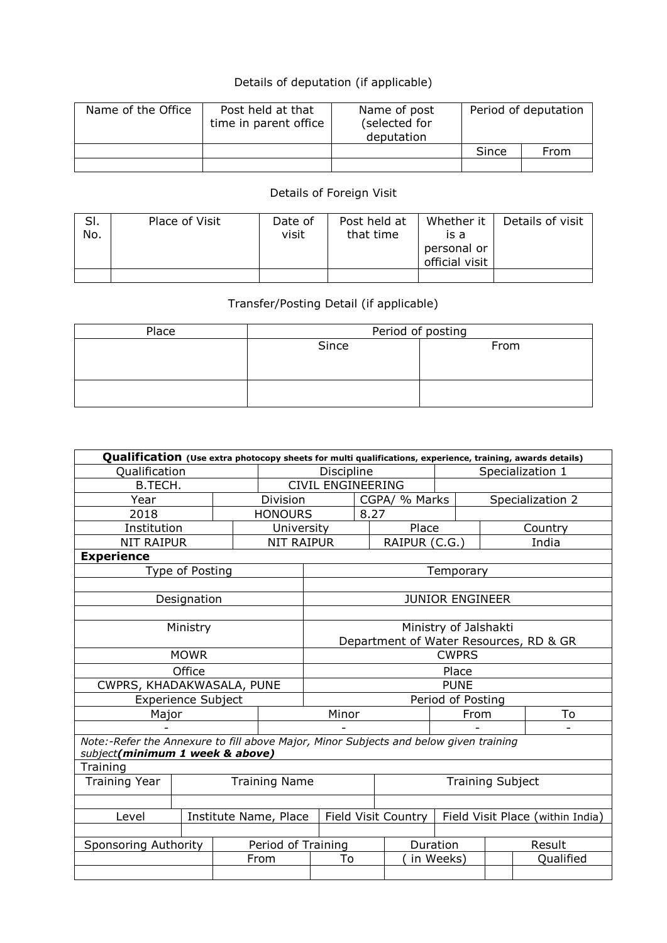## Details of deputation (if applicable)

| Name of the Office | Post held at that<br>time in parent office | Name of post<br>(selected for<br>deputation | Period of deputation |      |  |
|--------------------|--------------------------------------------|---------------------------------------------|----------------------|------|--|
|                    |                                            |                                             | Since                | From |  |
|                    |                                            |                                             |                      |      |  |

## Details of Foreign Visit

| SI.<br>No. | Place of Visit | Date of<br>visit | Post held at<br>that time | Whether it<br>is a<br>personal or<br>official visit | Details of visit |
|------------|----------------|------------------|---------------------------|-----------------------------------------------------|------------------|
|            |                |                  |                           |                                                     |                  |

## Transfer/Posting Detail (if applicable)

| Place | Period of posting |      |  |  |  |  |
|-------|-------------------|------|--|--|--|--|
|       | Since             | From |  |  |  |  |
|       |                   |      |  |  |  |  |
|       |                   |      |  |  |  |  |
|       |                   |      |  |  |  |  |
|       |                   |      |  |  |  |  |

| Qualification (Use extra photocopy sheets for multi qualifications, experience, training, awards details) |                           |  |                          |                                        |  |               |                                  |                  |           |  |
|-----------------------------------------------------------------------------------------------------------|---------------------------|--|--------------------------|----------------------------------------|--|---------------|----------------------------------|------------------|-----------|--|
| Qualification                                                                                             |                           |  |                          | Discipline                             |  |               | Specialization 1                 |                  |           |  |
| B.TECH.                                                                                                   |                           |  | <b>CIVIL ENGINEERING</b> |                                        |  |               |                                  |                  |           |  |
| Year                                                                                                      |                           |  | <b>Division</b>          |                                        |  | CGPA/ % Marks |                                  | Specialization 2 |           |  |
| 2018                                                                                                      |                           |  | <b>HONOURS</b>           | 8.27                                   |  |               |                                  |                  |           |  |
| Institution                                                                                               |                           |  | University               | Place                                  |  |               |                                  |                  | Country   |  |
| <b>NIT RAIPUR</b>                                                                                         |                           |  | <b>NIT RAIPUR</b>        |                                        |  | RAIPUR (C.G.) |                                  |                  | India     |  |
| <b>Experience</b>                                                                                         |                           |  |                          |                                        |  |               |                                  |                  |           |  |
|                                                                                                           | Type of Posting           |  |                          |                                        |  |               | Temporary                        |                  |           |  |
|                                                                                                           |                           |  |                          |                                        |  |               |                                  |                  |           |  |
|                                                                                                           | Designation               |  |                          |                                        |  |               | <b>JUNIOR ENGINEER</b>           |                  |           |  |
|                                                                                                           |                           |  |                          |                                        |  |               |                                  |                  |           |  |
|                                                                                                           | Ministry                  |  |                          | Ministry of Jalshakti                  |  |               |                                  |                  |           |  |
|                                                                                                           |                           |  |                          | Department of Water Resources, RD & GR |  |               |                                  |                  |           |  |
| <b>MOWR</b>                                                                                               |                           |  |                          | <b>CWPRS</b>                           |  |               |                                  |                  |           |  |
| Office                                                                                                    |                           |  |                          | Place                                  |  |               |                                  |                  |           |  |
| CWPRS, KHADAKWASALA, PUNE                                                                                 |                           |  |                          |                                        |  |               | <b>PUNE</b>                      |                  |           |  |
|                                                                                                           | <b>Experience Subject</b> |  |                          | Period of Posting                      |  |               |                                  |                  |           |  |
| Major                                                                                                     |                           |  |                          | Minor                                  |  |               | From                             |                  | To        |  |
|                                                                                                           |                           |  |                          |                                        |  |               |                                  |                  |           |  |
| Note:-Refer the Annexure to fill above Major, Minor Subjects and below given training                     |                           |  |                          |                                        |  |               |                                  |                  |           |  |
| subject(minimum 1 week & above)                                                                           |                           |  |                          |                                        |  |               |                                  |                  |           |  |
| Training                                                                                                  |                           |  |                          |                                        |  |               |                                  |                  |           |  |
| <b>Training Year</b>                                                                                      |                           |  | <b>Training Name</b>     |                                        |  |               | <b>Training Subject</b>          |                  |           |  |
|                                                                                                           |                           |  |                          |                                        |  |               |                                  |                  |           |  |
| Institute Name, Place<br>Level                                                                            |                           |  |                          | Field Visit Country                    |  |               | Field Visit Place (within India) |                  |           |  |
|                                                                                                           |                           |  |                          |                                        |  |               |                                  |                  |           |  |
| Sponsoring Authority                                                                                      |                           |  | Period of Training       |                                        |  |               | Duration                         |                  | Result    |  |
|                                                                                                           |                           |  | From                     | To                                     |  |               | in Weeks)                        |                  | Qualified |  |
|                                                                                                           |                           |  |                          |                                        |  |               |                                  |                  |           |  |